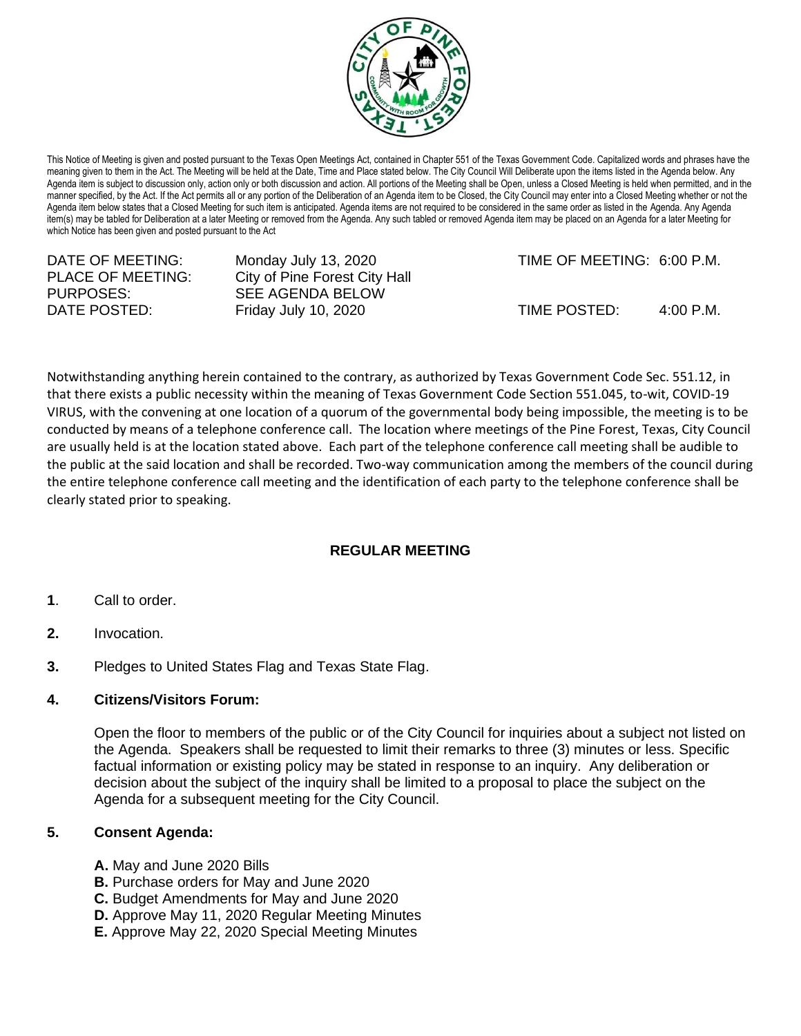

This Notice of Meeting is given and posted pursuant to the Texas Open Meetings Act, contained in Chapter 551 of the Texas Government Code. Capitalized words and phrases have the meaning given to them in the Act. The Meeting will be held at the Date, Time and Place stated below. The City Council Will Deliberate upon the items listed in the Agenda below. Any Agenda item is subject to discussion only, action only or both discussion and action. All portions of the Meeting shall be Open, unless a Closed Meeting is held when permitted, and in the manner specified, by the Act. If the Act permits all or any portion of the Deliberation of an Agenda item to be Closed, the City Council may enter into a Closed Meeting whether or not the Agenda item below states that a Closed Meeting for such item is anticipated. Agenda items are not required to be considered in the same order as listed in the Agenda. Any Agenda item(s) may be tabled for Deliberation at a later Meeting or removed from the Agenda. Any such tabled or removed Agenda item may be placed on an Agenda for a later Meeting for which Notice has been given and posted pursuant to the Act

| DATE OF MEETING:<br>Monday July 13, 2020<br>PLACE OF MEETING: | City of Pine Forest City Hall            |              | TIME OF MEETING: 6:00 P.M. |
|---------------------------------------------------------------|------------------------------------------|--------------|----------------------------|
| PURPOSES:<br>DATE POSTED:                                     | SEE AGENDA BELOW<br>Friday July 10, 2020 | TIME POSTED: | 4:00 P.M.                  |

Notwithstanding anything herein contained to the contrary, as authorized by Texas Government Code Sec. 551.12, in that there exists a public necessity within the meaning of Texas Government Code Section 551.045, to-wit, COVID-19 VIRUS, with the convening at one location of a quorum of the governmental body being impossible, the meeting is to be conducted by means of a telephone conference call. The location where meetings of the Pine Forest, Texas, City Council are usually held is at the location stated above. Each part of the telephone conference call meeting shall be audible to the public at the said location and shall be recorded. Two-way communication among the members of the council during the entire telephone conference call meeting and the identification of each party to the telephone conference shall be clearly stated prior to speaking.

## **REGULAR MEETING**

- **1**. Call to order.
- **2.** Invocation.
- **3.** Pledges to United States Flag and Texas State Flag.

## **4. Citizens/Visitors Forum:**

Open the floor to members of the public or of the City Council for inquiries about a subject not listed on the Agenda. Speakers shall be requested to limit their remarks to three (3) minutes or less. Specific factual information or existing policy may be stated in response to an inquiry. Any deliberation or decision about the subject of the inquiry shall be limited to a proposal to place the subject on the Agenda for a subsequent meeting for the City Council.

## **5. Consent Agenda:**

- **A.** May and June 2020 Bills
- **B.** Purchase orders for May and June 2020
- **C.** Budget Amendments for May and June 2020
- **D.** Approve May 11, 2020 Regular Meeting Minutes
- **E.** Approve May 22, 2020 Special Meeting Minutes